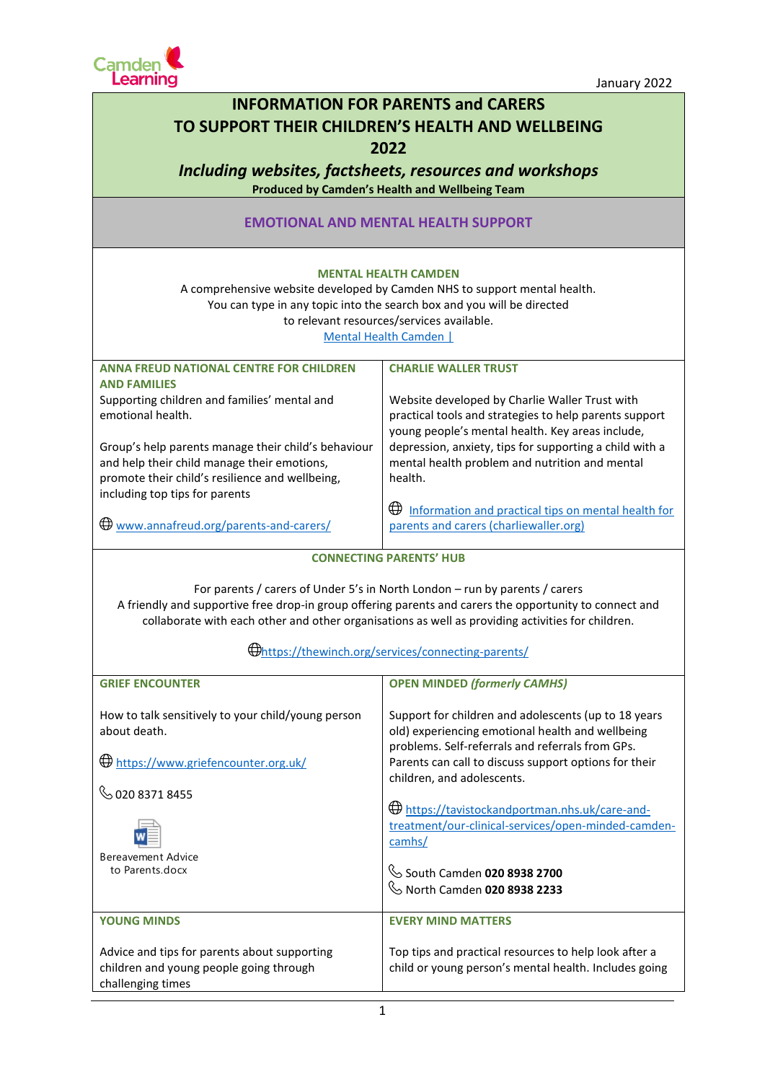

| <b>INFORMATION FOR PARENTS and CARERS</b>                                                                                                                                                                                                                                                                                                          |                                                                                                                                                                                                                                                     |  |
|----------------------------------------------------------------------------------------------------------------------------------------------------------------------------------------------------------------------------------------------------------------------------------------------------------------------------------------------------|-----------------------------------------------------------------------------------------------------------------------------------------------------------------------------------------------------------------------------------------------------|--|
| TO SUPPORT THEIR CHILDREN'S HEALTH AND WELLBEING                                                                                                                                                                                                                                                                                                   |                                                                                                                                                                                                                                                     |  |
| 2022                                                                                                                                                                                                                                                                                                                                               |                                                                                                                                                                                                                                                     |  |
| Including websites, factsheets, resources and workshops                                                                                                                                                                                                                                                                                            |                                                                                                                                                                                                                                                     |  |
| <b>Produced by Camden's Health and Wellbeing Team</b>                                                                                                                                                                                                                                                                                              |                                                                                                                                                                                                                                                     |  |
| <b>EMOTIONAL AND MENTAL HEALTH SUPPORT</b>                                                                                                                                                                                                                                                                                                         |                                                                                                                                                                                                                                                     |  |
| <b>MENTAL HEALTH CAMDEN</b><br>A comprehensive website developed by Camden NHS to support mental health.<br>You can type in any topic into the search box and you will be directed<br>to relevant resources/services available.<br>Mental Health Camden                                                                                            |                                                                                                                                                                                                                                                     |  |
| <b>ANNA FREUD NATIONAL CENTRE FOR CHILDREN</b><br><b>AND FAMILIES</b>                                                                                                                                                                                                                                                                              | <b>CHARLIE WALLER TRUST</b>                                                                                                                                                                                                                         |  |
| Supporting children and families' mental and<br>emotional health.                                                                                                                                                                                                                                                                                  | Website developed by Charlie Waller Trust with<br>practical tools and strategies to help parents support<br>young people's mental health. Key areas include,                                                                                        |  |
| Group's help parents manage their child's behaviour<br>and help their child manage their emotions,<br>promote their child's resilience and wellbeing,<br>including top tips for parents                                                                                                                                                            | depression, anxiety, tips for supporting a child with a<br>mental health problem and nutrition and mental<br>health.                                                                                                                                |  |
| $\bigoplus$ www.annafreud.org/parents-and-carers/                                                                                                                                                                                                                                                                                                  | Information and practical tips on mental health for<br>⊕<br>parents and carers (charliewaller.org)                                                                                                                                                  |  |
| <b>CONNECTING PARENTS' HUB</b>                                                                                                                                                                                                                                                                                                                     |                                                                                                                                                                                                                                                     |  |
| For parents / carers of Under 5's in North London - run by parents / carers<br>A friendly and supportive free drop-in group offering parents and carers the opportunity to connect and<br>collaborate with each other and other organisations as well as providing activities for children.<br>Unitips://thewinch.org/services/connecting-parents/ |                                                                                                                                                                                                                                                     |  |
| <b>GRIEF ENCOUNTER</b>                                                                                                                                                                                                                                                                                                                             | <b>OPEN MINDED (formerly CAMHS)</b>                                                                                                                                                                                                                 |  |
| How to talk sensitively to your child/young person<br>about death.<br>$\bigoplus$ https://www.griefencounter.org.uk/                                                                                                                                                                                                                               | Support for children and adolescents (up to 18 years<br>old) experiencing emotional health and wellbeing<br>problems. Self-referrals and referrals from GPs.<br>Parents can call to discuss support options for their<br>children, and adolescents. |  |
| $\mathbb{Q}$ 020 8371 8455                                                                                                                                                                                                                                                                                                                         | <b>Ethnetic https://tavistockandportman.nhs.uk/care-and-</b><br>treatment/our-clinical-services/open-minded-camden-<br>camhs/                                                                                                                       |  |
| <b>Bereavement Advice</b><br>to Parents.docx                                                                                                                                                                                                                                                                                                       | South Camden 020 8938 2700<br>$\mathbb{Q}$ North Camden 020 8938 2233                                                                                                                                                                               |  |
| <b>YOUNG MINDS</b>                                                                                                                                                                                                                                                                                                                                 | <b>EVERY MIND MATTERS</b>                                                                                                                                                                                                                           |  |
| Advice and tips for parents about supporting<br>children and young people going through<br>challenging times                                                                                                                                                                                                                                       | Top tips and practical resources to help look after a<br>child or young person's mental health. Includes going                                                                                                                                      |  |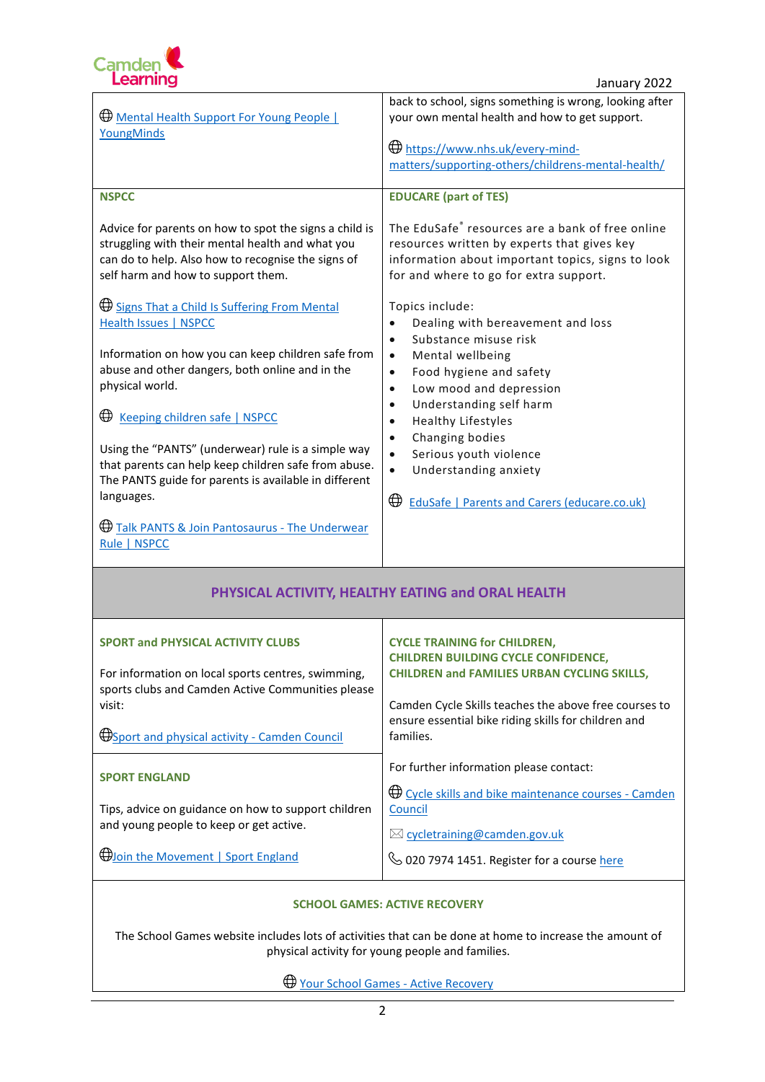

| Mental Health Support For Young People  <br>YoungMinds                                                                                                                                                 | back to school, signs something is wrong, looking after<br>your own mental health and how to get support.<br>https://www.nhs.uk/every-mind-<br>matters/supporting-others/childrens-mental-health/ |  |
|--------------------------------------------------------------------------------------------------------------------------------------------------------------------------------------------------------|---------------------------------------------------------------------------------------------------------------------------------------------------------------------------------------------------|--|
| <b>NSPCC</b>                                                                                                                                                                                           | <b>EDUCARE (part of TES)</b>                                                                                                                                                                      |  |
| Advice for parents on how to spot the signs a child is<br>struggling with their mental health and what you<br>can do to help. Also how to recognise the signs of<br>self harm and how to support them. | The EduSafe® resources are a bank of free online<br>resources written by experts that gives key<br>information about important topics, signs to look<br>for and where to go for extra support.    |  |
| <b>Example 3 Signs That a Child Is Suffering From Mental</b><br><b>Health Issues   NSPCC</b><br>Information on how you can keep children safe from                                                     | Topics include:<br>Dealing with bereavement and loss<br>$\bullet$<br>Substance misuse risk<br>$\bullet$<br>Mental wellbeing<br>$\bullet$                                                          |  |
| abuse and other dangers, both online and in the<br>physical world.                                                                                                                                     | Food hygiene and safety<br>$\bullet$<br>Low mood and depression<br>$\bullet$<br>Understanding self harm                                                                                           |  |
| ⊕<br>Keeping children safe   NSPCC                                                                                                                                                                     | $\bullet$<br><b>Healthy Lifestyles</b><br>$\bullet$                                                                                                                                               |  |
| Using the "PANTS" (underwear) rule is a simple way<br>that parents can help keep children safe from abuse.<br>The PANTS guide for parents is available in different<br>languages.                      | Changing bodies<br>$\bullet$<br>Serious youth violence<br>$\bullet$<br>Understanding anxiety<br>$\bullet$<br>$\bigoplus$<br><b>EduSafe   Parents and Carers (educare.co.uk)</b>                   |  |
| <b>Example 3 Talk PANTS &amp; Join Pantosaurus - The Underwear</b><br>Rule   NSPCC                                                                                                                     |                                                                                                                                                                                                   |  |
| PHYSICAL ACTIVITY, HEALTHY EATING and ORAL HEALTH                                                                                                                                                      |                                                                                                                                                                                                   |  |
| <b>SPORT and PHYSICAL ACTIVITY CLUBS</b>                                                                                                                                                               | <b>CYCLE TRAINING for CHILDREN,</b>                                                                                                                                                               |  |
| For information on local sports centres, swimming,<br>sports clubs and Camden Active Communities please                                                                                                | <b>CHILDREN BUILDING CYCLE CONFIDENCE,</b><br><b>CHILDREN and FAMILIES URBAN CYCLING SKILLS,</b>                                                                                                  |  |
| visit:                                                                                                                                                                                                 | Camden Cycle Skills teaches the above free courses to<br>ensure essential bike riding skills for children and                                                                                     |  |
| <b>Example 3 Department Oper Space Connect</b> Council                                                                                                                                                 | families.                                                                                                                                                                                         |  |
| <b>SPORT ENGLAND</b>                                                                                                                                                                                   | For further information please contact:<br><b>Example 2 Solution</b> Cycle skills and bike maintenance courses - Camden                                                                           |  |
| Tips, advice on guidance on how to support children<br>and young people to keep or get active.                                                                                                         | Council                                                                                                                                                                                           |  |
| <b>Woln the Movement   Sport England</b>                                                                                                                                                               | ⊠ cycletraining@camden.gov.uk<br>6 020 7974 1451. Register for a course here                                                                                                                      |  |
|                                                                                                                                                                                                        |                                                                                                                                                                                                   |  |

## **SCHOOL GAMES: ACTIVE RECOVERY**

The School Games website includes lots of activities that can be done at home to increase the amount of physical activity for young people and families.

[Your School Games -](https://www.yourschoolgames.com/active-recovery/) Active Recovery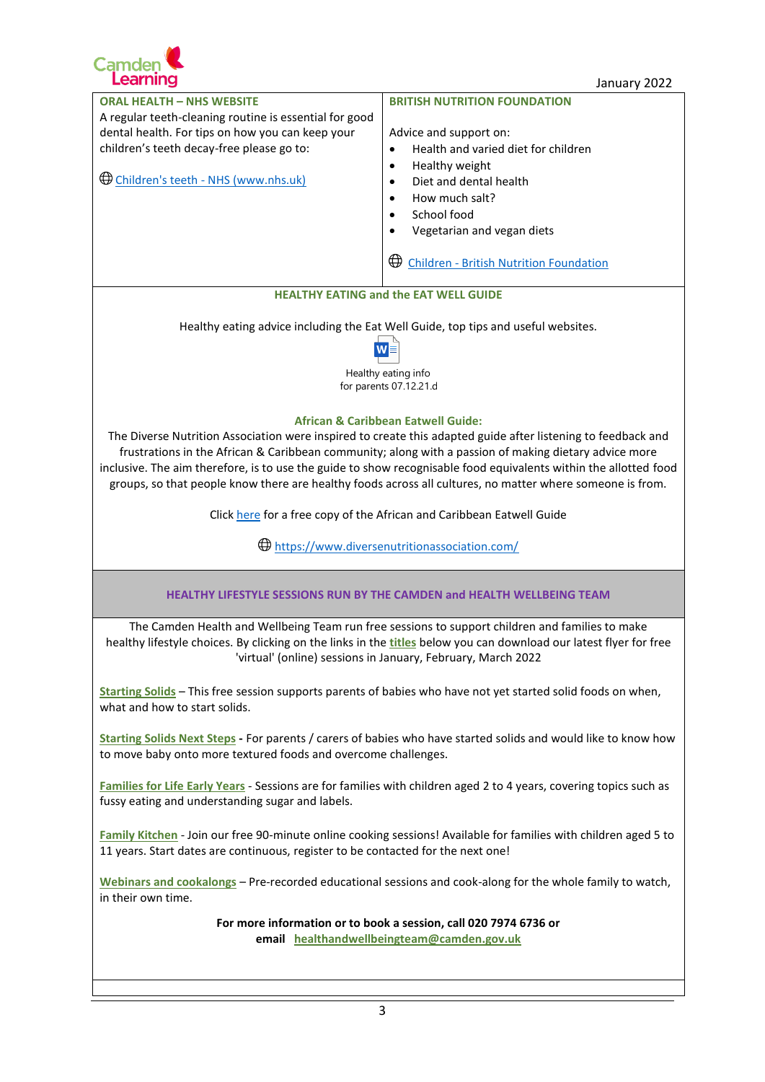

## January 2022